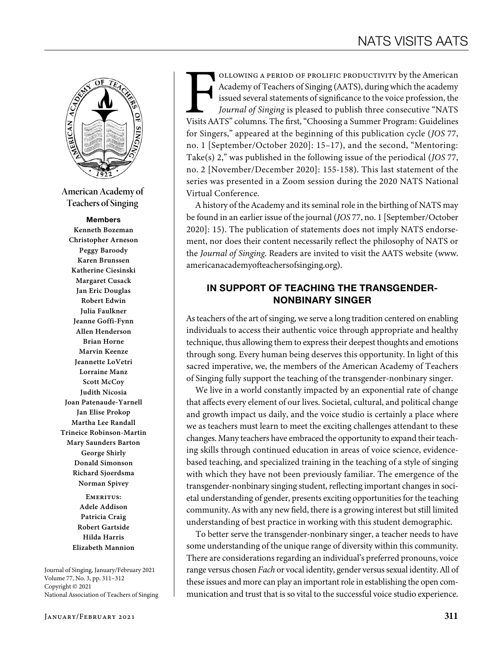

**American Academy of Teachers of Singing**

#### Members

**Kenneth Bozeman Christopher Arneson Peggy Baroody Karen Brunssen Katherine Ciesinski Margaret Cusack Jan Eric Douglas Robert Edwin Julia Faulkner Jeanne Goffi-Fynn Allen Henderson Brian Horne Marvin Keenze Jeannette LoVetri Lorraine Manz Scott McCoy Judith Nicosia Joan Patenaude-Yarnell Jan Elise Prokop Martha Lee Randall Trineice Robinson-Martin Mary Saunders Barton George Shirly Donald Simonson Richard Sjoerdsma Norman Spivey**

> **Emeritus: Adele Addison Patricia Craig Robert Gartside Hilda Harris Elizabeth Mannion**

Journal of Singing, January/February 2021 Volume 77, No. 3, pp. 311–312 Copyright © 2021 National Association of Teachers of Singing OLLOWING A PERIOD OF PROLIFIC PRODUCTIVITY by the American Academy of Teachers of Singing (AATS), during which the academy issued several statements of significance to the voice profession, the *Journal of Singing* is plea Academy of Teachers of Singing (AATS), during which the academy issued several statements of significance to the voice profession, the *Journal of Singing* is pleased to publish three consecutive "NATS for Singers," appeared at the beginning of this publication cycle (*JOS* 77, no. 1 [September/October 2020]: 15–17), and the second, "Mentoring: Take(s) 2," was published in the following issue of the periodical (*JOS* 77, no. 2 [November/December 2020]: 155-158). This last statement of the series was presented in a Zoom session during the 2020 NATS National Virtual Conference.

A history of the Academy and its seminal role in the birthing of NATS may be found in an earlier issue of the journal (*JOS* 77, no. 1 [September/October 2020]: 15). The publication of statements does not imply NATS endorsement, nor does their content necessarily reflect the philosophy of NATS or the *Journal of Singing*. Readers are invited to visit the AATS website (www. americanacademyofteachersofsinging.org).

# IN SUPPORT OF TEACHING THE TRANSGENDER-NONBINARY SINGER

As teachers of the art of singing, we serve a long tradition centered on enabling individuals to access their authentic voice through appropriate and healthy technique, thus allowing them to express their deepest thoughts and emotions through song. Every human being deserves this opportunity. In light of this sacred imperative, we, the members of the American Academy of Teachers of Singing fully support the teaching of the transgender-nonbinary singer.

We live in a world constantly impacted by an exponential rate of change that affects every element of our lives. Societal, cultural, and political change and growth impact us daily, and the voice studio is certainly a place where we as teachers must learn to meet the exciting challenges attendant to these changes. Many teachers have embraced the opportunity to expand their teaching skills through continued education in areas of voice science, evidencebased teaching, and specialized training in the teaching of a style of singing with which they have not been previously familiar. The emergence of the transgender-nonbinary singing student, reflecting important changes in societal understanding of gender, presents exciting opportunities for the teaching community. As with any new field, there is a growing interest but still limited understanding of best practice in working with this student demographic.

To better serve the transgender-nonbinary singer, a teacher needs to have some understanding of the unique range of diversity within this community. There are considerations regarding an individual's preferred pronouns, voice range versus chosen *Fach* or vocal identity, gender versus sexual identity. All of these issues and more can play an important role in establishing the open communication and trust that is so vital to the successful voice studio experience.